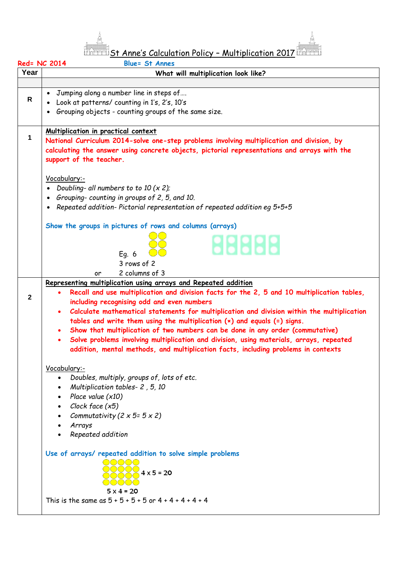

St Anne's Calculation Policy – Multiplication 2017

| Red= NC 2014<br><b>Blue= St Annes</b> |                                                                                                                                                                                                                                                                                                                                                                                                                                                                                                                                                                                                                                                                                       |  |  |  |  |  |
|---------------------------------------|---------------------------------------------------------------------------------------------------------------------------------------------------------------------------------------------------------------------------------------------------------------------------------------------------------------------------------------------------------------------------------------------------------------------------------------------------------------------------------------------------------------------------------------------------------------------------------------------------------------------------------------------------------------------------------------|--|--|--|--|--|
| Year                                  | What will multiplication look like?                                                                                                                                                                                                                                                                                                                                                                                                                                                                                                                                                                                                                                                   |  |  |  |  |  |
| $\mathsf{R}$                          | Jumping along a number line in steps of<br>Look at patterns/ counting in 1's, 2's, 10's<br>Grouping objects - counting groups of the same size.<br>$\bullet$                                                                                                                                                                                                                                                                                                                                                                                                                                                                                                                          |  |  |  |  |  |
| 1                                     | Multiplication in practical context<br>National Curriculum 2014-solve one-step problems involving multiplication and division, by<br>calculating the answer using concrete objects, pictorial representations and arrays with the<br>support of the teacher.<br>Vocabulary:-<br>Doubling- all numbers to to 10 $(x 2)$ :                                                                                                                                                                                                                                                                                                                                                              |  |  |  |  |  |
|                                       | Grouping-counting in groups of 2, 5, and 10.<br>$\bullet$<br>Repeated addition-Pictorial representation of repeated addition eg 5+5+5<br>Show the groups in pictures of rows and columns (arrays)<br><b>18888</b><br>Eq. 6<br>3 rows of 2                                                                                                                                                                                                                                                                                                                                                                                                                                             |  |  |  |  |  |
| 2                                     | 2 columns of 3<br>or<br>Representing multiplication using arrays and Repeated addition<br>Recall and use multiplication and division facts for the 2, 5 and 10 multiplication tables,<br>including recognising odd and even numbers<br>Calculate mathematical statements for multiplication and division within the multiplication<br>tables and write them using the multiplication $(x)$ and equals $(=)$ signs.<br>Show that multiplication of two numbers can be done in any order (commutative)<br>Solve problems involving multiplication and division, using materials, arrays, repeated<br>addition, mental methods, and multiplication facts, including problems in contexts |  |  |  |  |  |
|                                       | Vocabulary:-<br>Doubles, multiply, groups of, lots of etc.<br>Multiplication tables- 2, 5, 10<br>Place value $(x10)$<br>Clock face (x5)<br>Commutativity (2 $\times$ 5= 5 $\times$ 2)<br>Arrays<br>Repeated addition                                                                                                                                                                                                                                                                                                                                                                                                                                                                  |  |  |  |  |  |
|                                       | Use of arrays/ repeated addition to solve simple problems<br>$\bigcirc$ $\bigcirc$ $\bigcirc$ $\bigcirc$<br>$\frac{1}{2}$ 4 x 5 = 20<br>$5 \times 4 = 20$<br>This is the same as $5 + 5 + 5 + 5$ or $4 + 4 + 4 + 4 + 4$                                                                                                                                                                                                                                                                                                                                                                                                                                                               |  |  |  |  |  |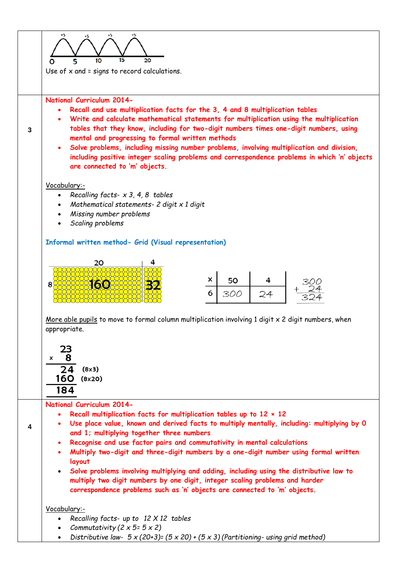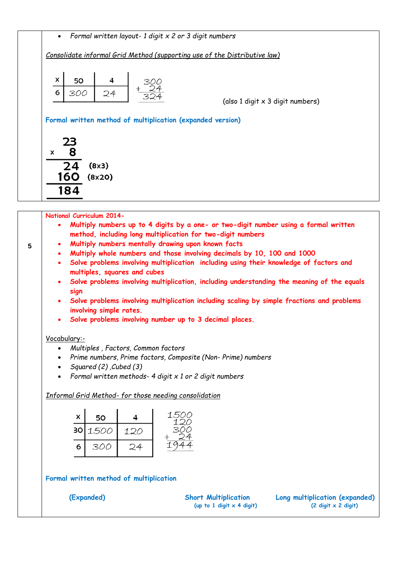| Consolidate informal Grid Method (supporting use of the Distributive law) |                                                                                                                                                          |  |  |  |  |  |
|---------------------------------------------------------------------------|----------------------------------------------------------------------------------------------------------------------------------------------------------|--|--|--|--|--|
|                                                                           | x<br>50                                                                                                                                                  |  |  |  |  |  |
|                                                                           | 24<br>6<br>300<br>(also 1 digit x 3 digit numbers)                                                                                                       |  |  |  |  |  |
|                                                                           | Formal written method of multiplication (expanded version)                                                                                               |  |  |  |  |  |
|                                                                           |                                                                                                                                                          |  |  |  |  |  |
|                                                                           | 23<br>8                                                                                                                                                  |  |  |  |  |  |
| X                                                                         |                                                                                                                                                          |  |  |  |  |  |
|                                                                           | 24<br>(8x3)<br>160 (8x20)                                                                                                                                |  |  |  |  |  |
|                                                                           |                                                                                                                                                          |  |  |  |  |  |
|                                                                           |                                                                                                                                                          |  |  |  |  |  |
|                                                                           | 184                                                                                                                                                      |  |  |  |  |  |
|                                                                           | National Curriculum 2014-                                                                                                                                |  |  |  |  |  |
|                                                                           | Multiply numbers up to 4 digits by a one- or two-digit number using a formal written<br>٠<br>method, including long multiplication for two-digit numbers |  |  |  |  |  |
|                                                                           | Multiply numbers mentally drawing upon known facts                                                                                                       |  |  |  |  |  |
|                                                                           | Multiply whole numbers and those involving decimals by 10, 100 and 1000<br>$\bullet$<br>$\bullet$                                                        |  |  |  |  |  |
|                                                                           | Solve problems involving multiplication including using their knowledge of factors and<br>multiples, squares and cubes                                   |  |  |  |  |  |
|                                                                           | Solve problems involving multiplication, including understanding the meaning of the equals<br>٠                                                          |  |  |  |  |  |
|                                                                           | sign<br>Solve problems involving multiplication including scaling by simple fractions and problems                                                       |  |  |  |  |  |
|                                                                           | involving simple rates.                                                                                                                                  |  |  |  |  |  |
|                                                                           | Solve problems involving number up to 3 decimal places.                                                                                                  |  |  |  |  |  |
|                                                                           | Vocabulary:-                                                                                                                                             |  |  |  |  |  |
|                                                                           | Multiples, Factors, Common factors<br>$\bullet$                                                                                                          |  |  |  |  |  |
|                                                                           | Prime numbers, Prime factors, Composite (Non-Prime) numbers                                                                                              |  |  |  |  |  |
|                                                                           | Squared (2), Cubed (3)<br>Formal written methods- 4 digit $x$ 1 or 2 digit numbers                                                                       |  |  |  |  |  |

| x | 50      |     | 1500<br>イワハ |
|---|---------|-----|-------------|
|   | 30 1500 | 120 | 300         |
| 6 | 300     |     |             |

**Formal written method of multiplication** 

 **(Expanded) Short Multiplication Long multiplication (expanded) (up to 1 digit x 4 digit) (2 digit x 2 digit)**